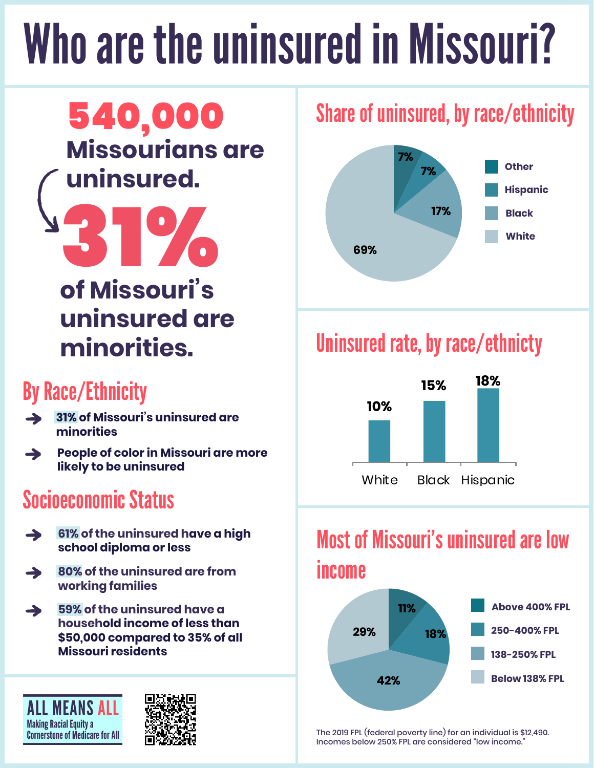# Who are the uninsured in Missouri?

## 540,000 **Missourians are uninsured.**

# **of Missouri's uninsured are minorities. 31%<br>of Missouri's**

#### By Race/Ethnicity

- **31% of Missouri's uninsured are**   $\rightarrow$ **minorities**
- **People of color in Missouri are more**   $\rightarrow$ **likely to be uninsured**

#### Socioeconomic Status

- **61% of the uninsured have a high**   $\rightarrow$ **school diploma or less**
- **80% of the uninsured are from working families**
- **59% of the uninsured have a household income of less than \$50,000 compared to 35% of all Missouri residents**





#### Share of uninsured, by race/ethnicity



### Uninsured rate, by race/ethnicty



#### Most of Missouri's uninsured are low income



The 2019 FPL (federal poverty line) for an individual is \$12,490. Incomes below 250% FPL are considered "low income."